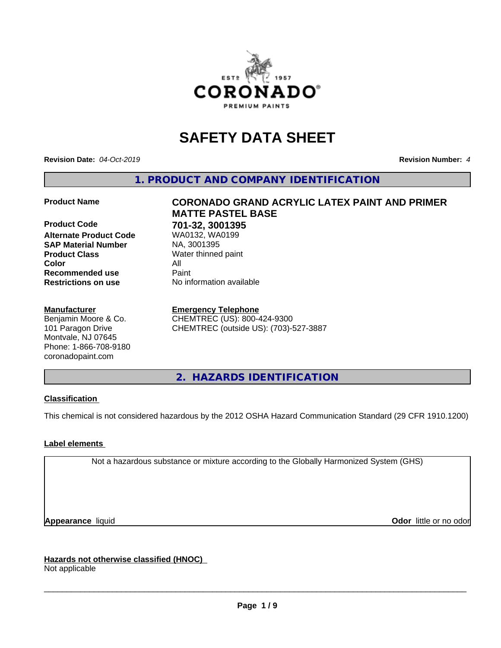

# **SAFETY DATA SHEET**

**Revision Date:** *04-Oct-2019* **Revision Number:** *4*

**1. PRODUCT AND COMPANY IDENTIFICATION**

**Alternate Product Code SAP Material Number** NA, 3001395<br>**Product Class** Water thinned **Color** All **Recommended use Paint Restrictions on use** No information available

#### **Manufacturer**

Benjamin Moore & Co. 101 Paragon Drive Montvale, NJ 07645 Phone: 1-866-708-9180 coronadopaint.com

**Product Name CORONADO GRAND ACRYLIC LATEX PAINT AND PRIMER MATTE PASTEL BASE Product Code 701-32, 3001395 Water thinned paint** 

> **Emergency Telephone** CHEMTREC (US): 800-424-9300 CHEMTREC (outside US): (703)-527-3887

**2. HAZARDS IDENTIFICATION**

#### **Classification**

This chemical is not considered hazardous by the 2012 OSHA Hazard Communication Standard (29 CFR 1910.1200)

## **Label elements**

Not a hazardous substance or mixture according to the Globally Harmonized System (GHS)

**Appearance** liquid **CODO** *Appearance liquid* **Odor** *CODO CODO* **<b>***CODO CODO CODO CODO CODO* 

**Hazards not otherwise classified (HNOC)** Not applicable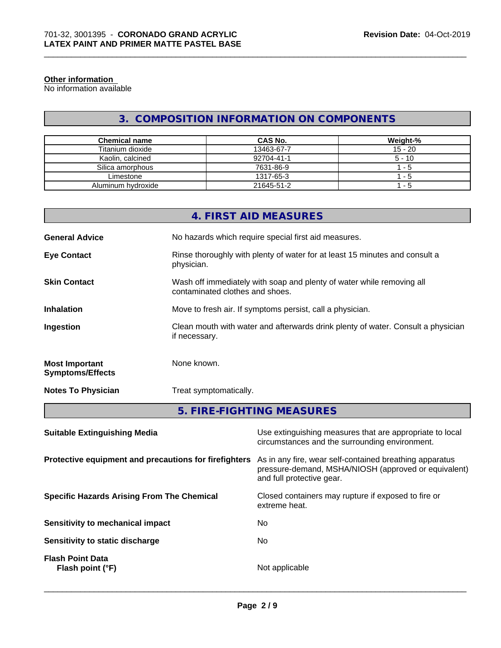#### **Other information**

No information available

## **3. COMPOSITION INFORMATION ON COMPONENTS**

| <b>Chemical name</b> | <b>CAS No.</b> | Weight-%  |
|----------------------|----------------|-----------|
| Titanium dioxide     | 13463-67-7     | $15 - 20$ |
| Kaolin, calcined     | 92704-41-1     | $5 - 10$  |
| Silica amorphous     | 7631-86-9      | - 5       |
| Limestone            | 1317-65-3      | - 5       |
| Aluminum hydroxide   | 21645-51-2     | - 5       |

|                                                  | 4. FIRST AID MEASURES                                                                                    |
|--------------------------------------------------|----------------------------------------------------------------------------------------------------------|
| <b>General Advice</b>                            | No hazards which require special first aid measures.                                                     |
| <b>Eye Contact</b>                               | Rinse thoroughly with plenty of water for at least 15 minutes and consult a<br>physician.                |
| <b>Skin Contact</b>                              | Wash off immediately with soap and plenty of water while removing all<br>contaminated clothes and shoes. |
| <b>Inhalation</b>                                | Move to fresh air. If symptoms persist, call a physician.                                                |
| Ingestion                                        | Clean mouth with water and afterwards drink plenty of water. Consult a physician<br>if necessary.        |
| <b>Most Important</b><br><b>Symptoms/Effects</b> | None known.                                                                                              |
| <b>Notes To Physician</b>                        | Treat symptomatically.                                                                                   |
|                                                  |                                                                                                          |

## **5. FIRE-FIGHTING MEASURES**

| <b>Suitable Extinguishing Media</b>                   | Use extinguishing measures that are appropriate to local<br>circumstances and the surrounding environment.                                   |
|-------------------------------------------------------|----------------------------------------------------------------------------------------------------------------------------------------------|
| Protective equipment and precautions for firefighters | As in any fire, wear self-contained breathing apparatus<br>pressure-demand, MSHA/NIOSH (approved or equivalent)<br>and full protective gear. |
| <b>Specific Hazards Arising From The Chemical</b>     | Closed containers may rupture if exposed to fire or<br>extreme heat.                                                                         |
| Sensitivity to mechanical impact                      | No.                                                                                                                                          |
| Sensitivity to static discharge                       | No                                                                                                                                           |
| <b>Flash Point Data</b><br>Flash point (°F)           | Not applicable                                                                                                                               |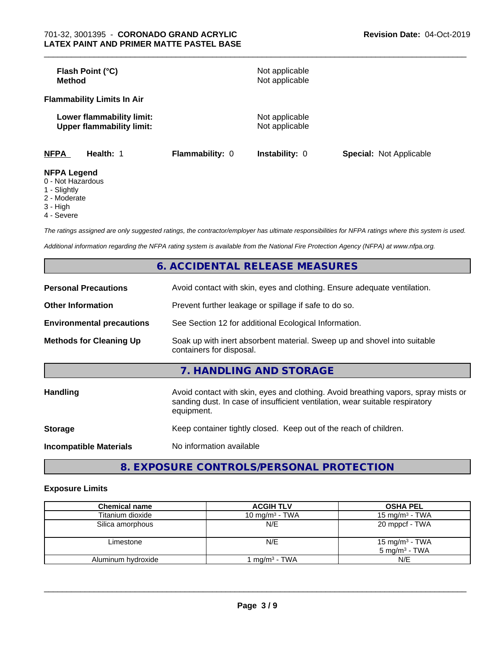| Flash Point (°C)<br><b>Method</b>                             |                        | Not applicable<br>Not applicable |                                |
|---------------------------------------------------------------|------------------------|----------------------------------|--------------------------------|
| <b>Flammability Limits In Air</b>                             |                        |                                  |                                |
| Lower flammability limit:<br><b>Upper flammability limit:</b> |                        | Not applicable<br>Not applicable |                                |
| <b>NFPA</b><br>Health: 1                                      | <b>Flammability: 0</b> | <b>Instability: 0</b>            | <b>Special: Not Applicable</b> |
| <b>NFPA Legend</b>                                            |                        |                                  |                                |

- 0 Not Hazardous
- 1 Slightly
- 2 Moderate
- 3 High
- 4 Severe

*The ratings assigned are only suggested ratings, the contractor/employer has ultimate responsibilities for NFPA ratings where this system is used.*

*Additional information regarding the NFPA rating system is available from the National Fire Protection Agency (NFPA) at www.nfpa.org.*

|                                  | 6. ACCIDENTAL RELEASE MEASURES                                                                                                                                                   |
|----------------------------------|----------------------------------------------------------------------------------------------------------------------------------------------------------------------------------|
| <b>Personal Precautions</b>      | Avoid contact with skin, eyes and clothing. Ensure adequate ventilation.                                                                                                         |
| <b>Other Information</b>         | Prevent further leakage or spillage if safe to do so.                                                                                                                            |
| <b>Environmental precautions</b> | See Section 12 for additional Ecological Information.                                                                                                                            |
| <b>Methods for Cleaning Up</b>   | Soak up with inert absorbent material. Sweep up and shovel into suitable<br>containers for disposal.                                                                             |
|                                  | 7. HANDLING AND STORAGE                                                                                                                                                          |
| <b>Handling</b>                  | Avoid contact with skin, eyes and clothing. Avoid breathing vapors, spray mists or<br>sanding dust. In case of insufficient ventilation, wear suitable respiratory<br>equipment. |
| <b>Storage</b>                   | Keep container tightly closed. Keep out of the reach of children.                                                                                                                |
| <b>Incompatible Materials</b>    | No information available                                                                                                                                                         |

**8. EXPOSURE CONTROLS/PERSONAL PROTECTION**

## **Exposure Limits**

| <b>Chemical name</b> | <b>ACGIH TLV</b>  | <b>OSHA PEL</b>                                        |
|----------------------|-------------------|--------------------------------------------------------|
| Titanium dioxide     | 10 mg/m $3$ - TWA | 15 mg/m $3$ - TWA                                      |
| Silica amorphous     | N/E               | 20 mppcf - TWA                                         |
| Limestone            | N/E               | 15 mg/m <sup>3</sup> - TWA<br>$5 \text{ mg/m}^3$ - TWA |
| Aluminum hydroxide   | ' mg/mª - TWA     | N/E                                                    |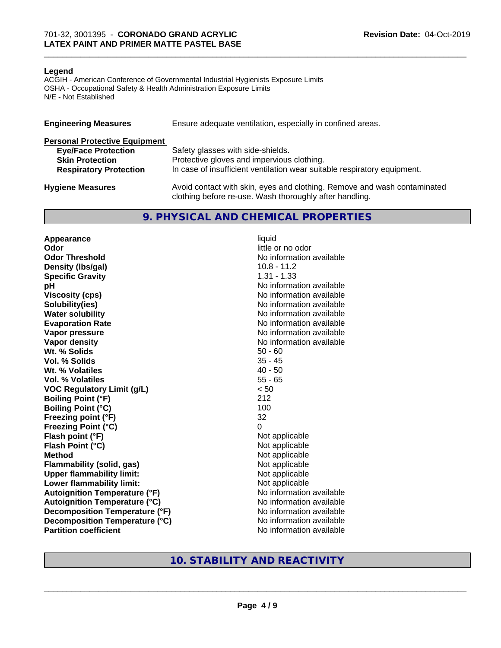#### **Legend**

ACGIH - American Conference of Governmental Industrial Hygienists Exposure Limits OSHA - Occupational Safety & Health Administration Exposure Limits N/E - Not Established

| <b>Engineering Measures</b>          | Ensure adequate ventilation, especially in confined areas.                                                                          |
|--------------------------------------|-------------------------------------------------------------------------------------------------------------------------------------|
| <b>Personal Protective Equipment</b> |                                                                                                                                     |
| <b>Eye/Face Protection</b>           | Safety glasses with side-shields.                                                                                                   |
| <b>Skin Protection</b>               | Protective gloves and impervious clothing.                                                                                          |
| <b>Respiratory Protection</b>        | In case of insufficient ventilation wear suitable respiratory equipment.                                                            |
| <b>Hygiene Measures</b>              | Avoid contact with skin, eyes and clothing. Remove and wash contaminated<br>clothing before re-use. Wash thoroughly after handling. |

## **9. PHYSICAL AND CHEMICAL PROPERTIES**

**Appearance** liquid **Odor** little or no odor **Odor Threshold No information available No information available Density (lbs/gal)** 10.8 - 11.2 **Specific Gravity** 1.31 - 1.33 **pH pH**  $\blacksquare$ **Viscosity (cps)** No information available **Solubility(ies)** No information available **Water solubility** No information available **Evaporation Rate No information available No information available Vapor pressure** No information available **No information available Vapor density**<br> **We Solids**<br>
We Solids
2019<br>
Me Solids
2019 **Wt. % Solids Vol. % Solids** 35 - 45 **Wt.** % Volatiles 40 - 50 **Vol. % Volatiles** 55 - 65 **VOC Regulatory Limit (g/L)** < 50 **Boiling Point (°F)** 212 **Boiling Point (°C)** 100 **Freezing point (°F)** 32 **Freezing Point (°C)** 0 **Flash point (°F)**<br> **Flash Point (°C)**<br> **Flash Point (°C)**<br> **C Flash Point (°C) Method** Not applicable **Flammability (solid, gas)**<br> **Upper flammability limit:**<br>
Upper flammability limit:<br>  $\begin{array}{ccc}\n\bullet & \bullet & \bullet \\
\bullet & \bullet & \bullet\n\end{array}$  Not applicable **Upper flammability limit:**<br> **Lower flammability limit:** Not applicable Not applicable **Lower flammability limit: Autoignition Temperature (°F)** No information available **Autoignition Temperature (°C)** No information available **Decomposition Temperature (°F)** No information available **Decomposition Temperature (°C)** No information available **Partition coefficient** No information available

## **10. STABILITY AND REACTIVITY**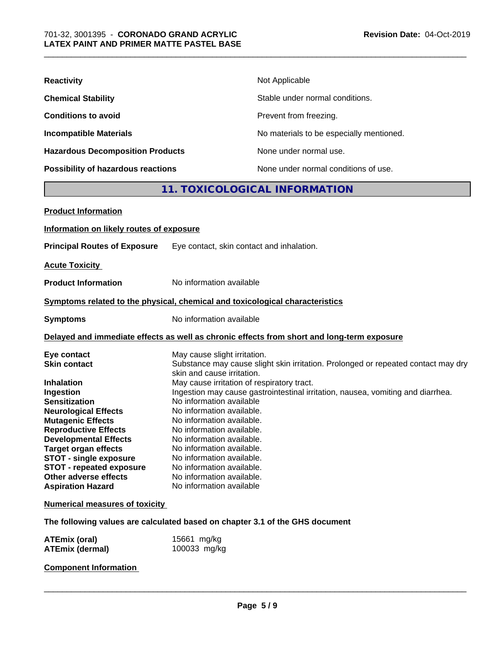| <b>Reactivity</b>                       | Not Applicable                           |
|-----------------------------------------|------------------------------------------|
| <b>Chemical Stability</b>               | Stable under normal conditions.          |
| <b>Conditions to avoid</b>              | Prevent from freezing.                   |
| <b>Incompatible Materials</b>           | No materials to be especially mentioned. |
| <b>Hazardous Decomposition Products</b> | None under normal use.                   |
| Possibility of hazardous reactions      | None under normal conditions of use.     |
|                                         |                                          |

## **11. TOXICOLOGICAL INFORMATION**

| <b>Product Information</b>               |                                                                                                                 |
|------------------------------------------|-----------------------------------------------------------------------------------------------------------------|
| Information on likely routes of exposure |                                                                                                                 |
|                                          |                                                                                                                 |
| <b>Principal Routes of Exposure</b>      | Eye contact, skin contact and inhalation.                                                                       |
| <b>Acute Toxicity</b>                    |                                                                                                                 |
| <b>Product Information</b>               | No information available                                                                                        |
|                                          | Symptoms related to the physical, chemical and toxicological characteristics                                    |
| <b>Symptoms</b>                          | No information available                                                                                        |
|                                          | Delayed and immediate effects as well as chronic effects from short and long-term exposure                      |
| Eye contact                              | May cause slight irritation.                                                                                    |
| <b>Skin contact</b>                      | Substance may cause slight skin irritation. Prolonged or repeated contact may dry<br>skin and cause irritation. |
| <b>Inhalation</b>                        | May cause irritation of respiratory tract.                                                                      |
| Ingestion                                | Ingestion may cause gastrointestinal irritation, nausea, vomiting and diarrhea.                                 |
| <b>Sensitization</b>                     | No information available                                                                                        |
| <b>Neurological Effects</b>              | No information available.                                                                                       |
| <b>Mutagenic Effects</b>                 | No information available.                                                                                       |
| <b>Reproductive Effects</b>              | No information available.                                                                                       |
| <b>Developmental Effects</b>             | No information available.                                                                                       |
| <b>Target organ effects</b>              | No information available.                                                                                       |
| <b>STOT - single exposure</b>            | No information available.                                                                                       |
| <b>STOT - repeated exposure</b>          | No information available.                                                                                       |
| Other adverse effects                    | No information available.                                                                                       |
| <b>Aspiration Hazard</b>                 | No information available                                                                                        |
| <b>Numerical measures of toxicity</b>    |                                                                                                                 |
|                                          | The following values are calculated based on chapter 3.1 of the GHS document                                    |
| <b>ATEmix (oral)</b>                     | 15661 mg/kg                                                                                                     |
| <b>ATEmix (dermal)</b>                   | 100033 mg/kg                                                                                                    |

## **Component Information**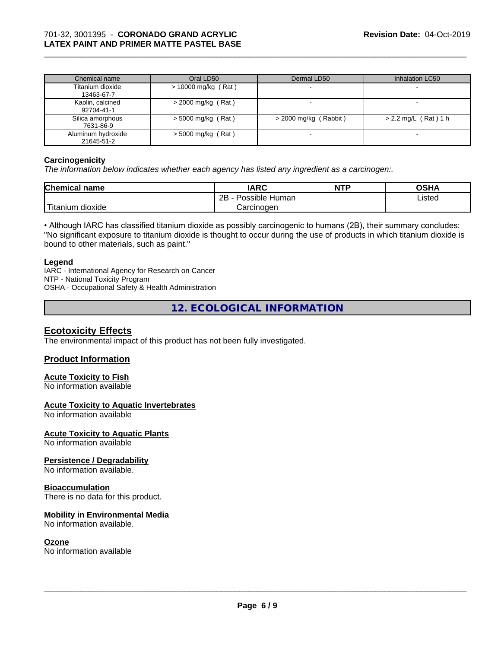| Chemical name                    | Oral LD50             | Dermal LD50             | Inhalation LC50        |
|----------------------------------|-----------------------|-------------------------|------------------------|
| Titanium dioxide<br>13463-67-7   | $> 10000$ mg/kg (Rat) |                         |                        |
| Kaolin, calcined<br>92704-41-1   | $>$ 2000 mg/kg (Rat)  |                         |                        |
| Silica amorphous<br>7631-86-9    | $>$ 5000 mg/kg (Rat)  | $>$ 2000 mg/kg (Rabbit) | $> 2.2$ mg/L (Rat) 1 h |
| Aluminum hydroxide<br>21645-51-2 | $>$ 5000 mg/kg (Rat)  |                         |                        |

#### **Carcinogenicity**

*The information below indicateswhether each agency has listed any ingredient as a carcinogen:.*

| <b>Chemical name</b> | <b>IARC</b>                 | <b>NTP</b> | ៱ເມ∧<br>UJNA |
|----------------------|-----------------------------|------------|--------------|
|                      | . .<br>2B<br>Possible Human |            | Listed       |
| 'Titanium<br>dioxide | Carcinogen                  |            |              |

• Although IARC has classified titanium dioxide as possibly carcinogenic to humans (2B), their summary concludes: "No significant exposure to titanium dioxide is thought to occur during the use of products in which titanium dioxide is bound to other materials, such as paint."

#### **Legend**

IARC - International Agency for Research on Cancer NTP - National Toxicity Program OSHA - Occupational Safety & Health Administration

**12. ECOLOGICAL INFORMATION**

## **Ecotoxicity Effects**

The environmental impact of this product has not been fully investigated.

#### **Product Information**

## **Acute Toxicity to Fish**

No information available

## **Acute Toxicity to Aquatic Invertebrates**

No information available

#### **Acute Toxicity to Aquatic Plants**

No information available

#### **Persistence / Degradability**

No information available.

#### **Bioaccumulation**

There is no data for this product.

#### **Mobility in Environmental Media**

No information available.

#### **Ozone**

No information available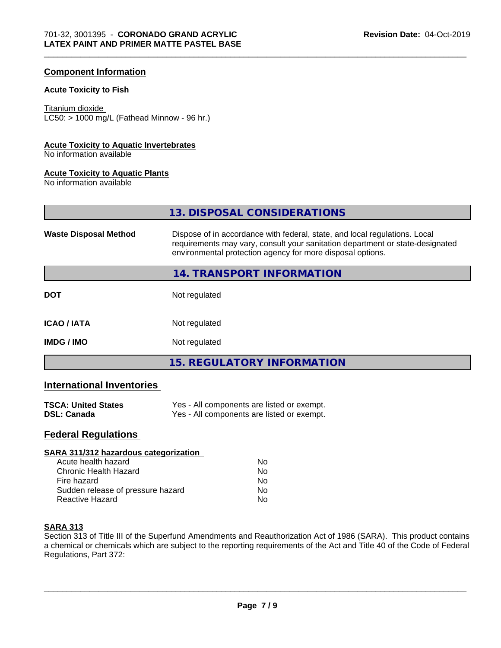## **Component Information**

## **Acute Toxicity to Fish**

#### Titanium dioxide

 $LC50:$  > 1000 mg/L (Fathead Minnow - 96 hr.)

#### **Acute Toxicity to Aquatic Invertebrates**

No information available

#### **Acute Toxicity to Aquatic Plants**

No information available

**13. DISPOSAL CONSIDERATIONS**

| <b>Waste Disposal Method</b> | Dispose of in accordance with federal, state, and local regulations. Local<br>requirements may vary, consult your sanitation department or state-designated<br>environmental protection agency for more disposal options. |
|------------------------------|---------------------------------------------------------------------------------------------------------------------------------------------------------------------------------------------------------------------------|
|                              | <b>14. TRANSPORT INFORMATION</b>                                                                                                                                                                                          |
| <b>DOT</b>                   | Not regulated                                                                                                                                                                                                             |
| <b>ICAO/IATA</b>             | Not regulated                                                                                                                                                                                                             |
| <b>IMDG/IMO</b>              | Not regulated                                                                                                                                                                                                             |
|                              | <b>15. REGULATORY INFORMATION</b>                                                                                                                                                                                         |

## **International Inventories**

| <b>TSCA: United States</b> | Yes - All components are listed or exempt. |
|----------------------------|--------------------------------------------|
| <b>DSL: Canada</b>         | Yes - All components are listed or exempt. |

## **Federal Regulations**

| SARA 311/312 hazardous categorization |    |  |
|---------------------------------------|----|--|
| Acute health hazard                   | Nο |  |
| Chronic Health Hazard                 | Nο |  |
| Fire hazard                           | No |  |
| Sudden release of pressure hazard     | No |  |
| Reactive Hazard                       | No |  |

#### **SARA 313**

Section 313 of Title III of the Superfund Amendments and Reauthorization Act of 1986 (SARA). This product contains a chemical or chemicals which are subject to the reporting requirements of the Act and Title 40 of the Code of Federal Regulations, Part 372: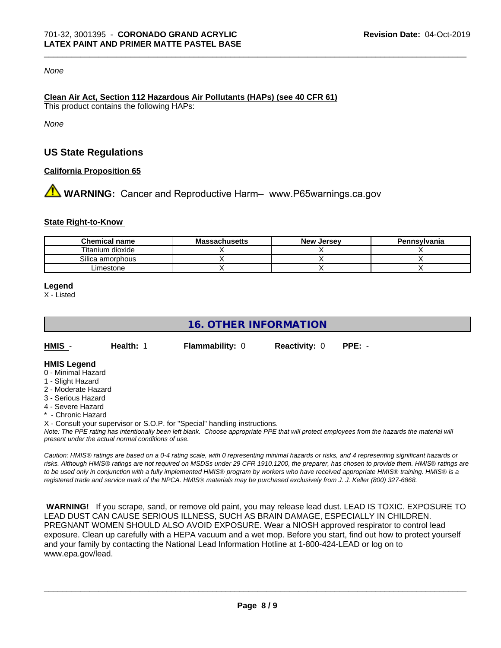#### *None*

#### **Clean Air Act,Section 112 Hazardous Air Pollutants (HAPs) (see 40 CFR 61)** This product contains the following HAPs:

*None*

## **US State Regulations**

#### **California Proposition 65**

**AN** WARNING: Cancer and Reproductive Harm– www.P65warnings.ca.gov

#### **State Right-to-Know**

| <b>Chemical name</b> | <b>Massachusetts</b> | <b>New Jersey</b> | Pennsylvania |
|----------------------|----------------------|-------------------|--------------|
| Titanium dioxide     |                      |                   |              |
| Silica amorphous     |                      |                   |              |
| -imestone            |                      |                   |              |

**Legend**

X - Listed

## **16. OTHER INFORMATION**

**HMIS** - **Health:** 1 **Flammability:** 0 **Reactivity:** 0 **PPE:** -

#### **HMIS Legend**

- 0 Minimal Hazard
- 1 Slight Hazard
- 2 Moderate Hazard
- 3 Serious Hazard
- 4 Severe Hazard
- Chronic Hazard

X - Consult your supervisor or S.O.P. for "Special" handling instructions.

*Note: The PPE rating has intentionally been left blank. Choose appropriate PPE that will protect employees from the hazards the material will present under the actual normal conditions of use.*

*Caution: HMISÒ ratings are based on a 0-4 rating scale, with 0 representing minimal hazards or risks, and 4 representing significant hazards or risks. Although HMISÒ ratings are not required on MSDSs under 29 CFR 1910.1200, the preparer, has chosen to provide them. HMISÒ ratings are to be used only in conjunction with a fully implemented HMISÒ program by workers who have received appropriate HMISÒ training. HMISÒ is a registered trade and service mark of the NPCA. HMISÒ materials may be purchased exclusively from J. J. Keller (800) 327-6868.*

 **WARNING!** If you scrape, sand, or remove old paint, you may release lead dust. LEAD IS TOXIC. EXPOSURE TO LEAD DUST CAN CAUSE SERIOUS ILLNESS, SUCH AS BRAIN DAMAGE, ESPECIALLY IN CHILDREN. PREGNANT WOMEN SHOULD ALSO AVOID EXPOSURE.Wear a NIOSH approved respirator to control lead exposure. Clean up carefully with a HEPA vacuum and a wet mop. Before you start, find out how to protect yourself and your family by contacting the National Lead Information Hotline at 1-800-424-LEAD or log on to www.epa.gov/lead.